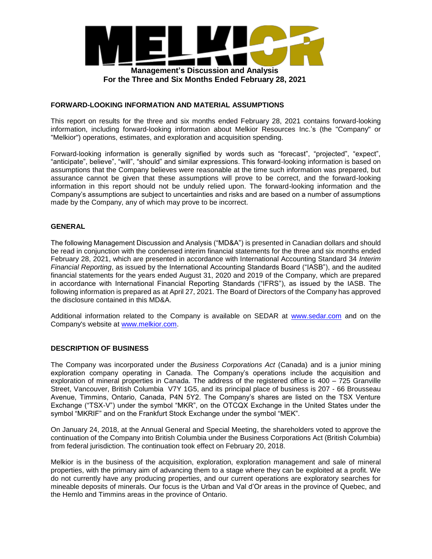

#### **FORWARD-LOOKING INFORMATION AND MATERIAL ASSUMPTIONS**

This report on results for the three and six months ended February 28, 2021 contains forward-looking information, including forward-looking information about Melkior Resources Inc.'s (the "Company" or "Melkior") operations, estimates, and exploration and acquisition spending.

Forward-looking information is generally signified by words such as "forecast", "projected", "expect", "anticipate", believe", "will", "should" and similar expressions. This forward-looking information is based on assumptions that the Company believes were reasonable at the time such information was prepared, but assurance cannot be given that these assumptions will prove to be correct, and the forward-looking information in this report should not be unduly relied upon. The forward-looking information and the Company's assumptions are subject to uncertainties and risks and are based on a number of assumptions made by the Company, any of which may prove to be incorrect.

## **GENERAL**

The following Management Discussion and Analysis ("MD&A") is presented in Canadian dollars and should be read in conjunction with the condensed interim financial statements for the three and six months ended February 28, 2021, which are presented in accordance with International Accounting Standard 34 *Interim Financial Reporting*, as issued by the International Accounting Standards Board ("IASB"), and the audited financial statements for the years ended August 31, 2020 and 2019 of the Company, which are prepared in accordance with International Financial Reporting Standards ("IFRS"), as issued by the IASB. The following information is prepared as at April 27, 2021. The Board of Directors of the Company has approved the disclosure contained in this MD&A.

Additional information related to the Company is available on SEDAR at www.sedar.com and on the Company's website at www.melkior.com.

#### **DESCRIPTION OF BUSINESS**

The Company was incorporated under the *Business Corporations Act* (Canada) and is a junior mining exploration company operating in Canada. The Company's operations include the acquisition and exploration of mineral properties in Canada. The address of the registered office is 400 – 725 Granville Street, Vancouver, British Columbia V7Y 1G5, and its principal place of business is 207 - 66 Brousseau Avenue, Timmins, Ontario, Canada, P4N 5Y2. The Company's shares are listed on the TSX Venture Exchange ("TSX-V") under the symbol "MKR", on the OTCQX Exchange in the United States under the symbol "MKRIF" and on the Frankfurt Stock Exchange under the symbol "MEK".

On January 24, 2018, at the Annual General and Special Meeting, the shareholders voted to approve the continuation of the Company into British Columbia under the Business Corporations Act (British Columbia) from federal jurisdiction. The continuation took effect on February 20, 2018.

Melkior is in the business of the acquisition, exploration, exploration management and sale of mineral properties, with the primary aim of advancing them to a stage where they can be exploited at a profit. We do not currently have any producing properties, and our current operations are exploratory searches for mineable deposits of minerals. Our focus is the Urban and Val d'Or areas in the province of Quebec, and the Hemlo and Timmins areas in the province of Ontario.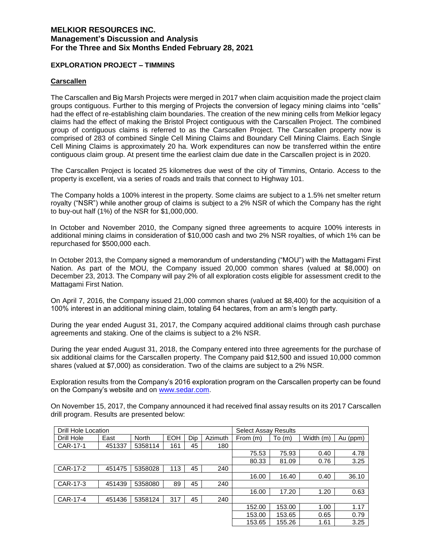#### **EXPLORATION PROJECT – TIMMINS**

#### **Carscallen**

The Carscallen and Big Marsh Projects were merged in 2017 when claim acquisition made the project claim groups contiguous. Further to this merging of Projects the conversion of legacy mining claims into "cells" had the effect of re-establishing claim boundaries. The creation of the new mining cells from Melkior legacy claims had the effect of making the Bristol Project contiguous with the Carscallen Project. The combined group of contiguous claims is referred to as the Carscallen Project. The Carscallen property now is comprised of 283 of combined Single Cell Mining Claims and Boundary Cell Mining Claims. Each Single Cell Mining Claims is approximately 20 ha. Work expenditures can now be transferred within the entire contiguous claim group. At present time the earliest claim due date in the Carscallen project is in 2020.

The Carscallen Project is located 25 kilometres due west of the city of Timmins, Ontario. Access to the property is excellent, via a series of roads and trails that connect to Highway 101.

The Company holds a 100% interest in the property. Some claims are subject to a 1.5% net smelter return royalty ("NSR") while another group of claims is subject to a 2% NSR of which the Company has the right to buy-out half (1%) of the NSR for \$1,000,000.

In October and November 2010, the Company signed three agreements to acquire 100% interests in additional mining claims in consideration of \$10,000 cash and two 2% NSR royalties, of which 1% can be repurchased for \$500,000 each.

In October 2013, the Company signed a memorandum of understanding ("MOU") with the Mattagami First Nation. As part of the MOU, the Company issued 20,000 common shares (valued at \$8,000) on December 23, 2013. The Company will pay 2% of all exploration costs eligible for assessment credit to the Mattagami First Nation.

On April 7, 2016, the Company issued 21,000 common shares (valued at \$8,400) for the acquisition of a 100% interest in an additional mining claim, totaling 64 hectares, from an arm's length party.

During the year ended August 31, 2017, the Company acquired additional claims through cash purchase agreements and staking. One of the claims is subject to a 2% NSR.

During the year ended August 31, 2018, the Company entered into three agreements for the purchase of six additional claims for the Carscallen property. The Company paid \$12,500 and issued 10,000 common shares (valued at \$7,000) as consideration. Two of the claims are subject to a 2% NSR.

Exploration results from the Company's 2016 exploration program on the Carscallen property can be found on the Company's website and on www.sedar.com.

On November 15, 2017, the Company announced it had received final assay results on its 2017 Carscallen drill program. Results are presented below:

| Drill Hole Location |        |              |            |     |         | <b>Select Assay Results</b> |        |           |          |
|---------------------|--------|--------------|------------|-----|---------|-----------------------------|--------|-----------|----------|
| Drill Hole          | East   | <b>North</b> | <b>EOH</b> | Dip | Azimuth | From (m)                    | To(m)  | Width (m) | Au (ppm) |
| CAR-17-1            | 451337 | 5358114      | 161        | 45  | 180     |                             |        |           |          |
|                     |        |              |            |     |         | 75.53                       | 75.93  | 0.40      | 4.78     |
|                     |        |              |            |     |         | 80.33                       | 81.09  | 0.76      | 3.25     |
| CAR-17-2            | 451475 | 5358028      | 113        | 45  | 240     |                             |        |           |          |
|                     |        |              |            |     |         | 16.00                       | 16.40  | 0.40      | 36.10    |
| CAR-17-3            | 451439 | 5358080      | 89         | 45  | 240     |                             |        |           |          |
|                     |        |              |            |     |         | 16.00                       | 17.20  | 1.20      | 0.63     |
| CAR-17-4            | 451436 | 5358124      | 317        | 45  | 240     |                             |        |           |          |
|                     |        |              |            |     |         | 152.00                      | 153.00 | 1.00      | 1.17     |
|                     |        |              |            |     |         | 153.00                      | 153.65 | 0.65      | 0.79     |
|                     |        |              |            |     |         | 153.65                      | 155.26 | 1.61      | 3.25     |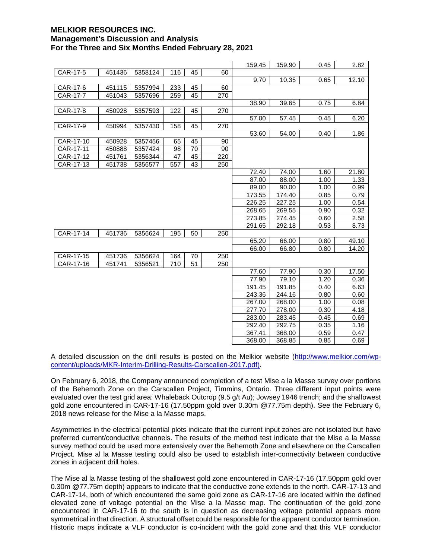|           |        |         |     |    |     | 159.45 | 159.90 | 0.45 | 2.82  |
|-----------|--------|---------|-----|----|-----|--------|--------|------|-------|
| CAR-17-5  | 451436 | 5358124 | 116 | 45 | 60  |        |        |      |       |
|           |        |         |     |    |     | 9.70   | 10.35  | 0.65 | 12.10 |
| CAR-17-6  | 451115 | 5357994 | 233 | 45 | 60  |        |        |      |       |
| CAR-17-7  | 451043 | 5357696 | 259 | 45 | 270 |        |        |      |       |
|           |        |         |     |    |     | 38.90  | 39.65  | 0.75 | 6.84  |
| CAR-17-8  | 450928 | 5357593 | 122 | 45 | 270 |        |        |      |       |
|           |        |         |     |    |     | 57.00  | 57.45  | 0.45 | 6.20  |
| CAR-17-9  | 450994 | 5357430 | 158 | 45 | 270 |        |        |      |       |
|           |        |         |     |    |     | 53.60  | 54.00  | 0.40 | 1.86  |
| CAR-17-10 | 450928 | 5357456 | 65  | 45 | 90  |        |        |      |       |
| CAR-17-11 | 450888 | 5357424 | 98  | 70 | 90  |        |        |      |       |
| CAR-17-12 | 451761 | 5356344 | 47  | 45 | 220 |        |        |      |       |
| CAR-17-13 | 451738 | 5356577 | 557 | 43 | 250 |        |        |      |       |
|           |        |         |     |    |     | 72.40  | 74.00  | 1.60 | 21.80 |
|           |        |         |     |    |     | 87.00  | 88.00  | 1.00 | 1.33  |
|           |        |         |     |    |     | 89.00  | 90.00  | 1.00 | 0.99  |
|           |        |         |     |    |     | 173.55 | 174.40 | 0.85 | 0.79  |
|           |        |         |     |    |     | 226.25 | 227.25 | 1.00 | 0.54  |
|           |        |         |     |    |     | 268.65 | 269.55 | 0.90 | 0.32  |
|           |        |         |     |    |     | 273.85 | 274.45 | 0.60 | 2.58  |
|           |        |         |     |    |     | 291.65 | 292.18 | 0.53 | 8.73  |
| CAR-17-14 | 451736 | 5356624 | 195 | 50 | 250 |        |        |      |       |
|           |        |         |     |    |     | 65.20  | 66.00  | 0.80 | 49.10 |
|           |        |         |     |    |     | 66.00  | 66.80  | 0.80 | 14.20 |
| CAR-17-15 | 451736 | 5356624 | 164 | 70 | 250 |        |        |      |       |
| CAR-17-16 | 451741 | 5356521 | 710 | 51 | 250 |        |        |      |       |
|           |        |         |     |    |     | 77.60  | 77.90  | 0.30 | 17.50 |
|           |        |         |     |    |     | 77.90  | 79.10  | 1.20 | 0.36  |
|           |        |         |     |    |     | 191.45 | 191.85 | 0.40 | 6.63  |
|           |        |         |     |    |     | 243.36 | 244.16 | 0.80 | 0.60  |
|           |        |         |     |    |     | 267.00 | 268.00 | 1.00 | 0.08  |
|           |        |         |     |    |     | 277.70 | 278.00 | 0.30 | 4.18  |
|           |        |         |     |    |     | 283.00 | 283.45 | 0.45 | 0.69  |
|           |        |         |     |    |     | 292.40 | 292.75 | 0.35 | 1.16  |
|           |        |         |     |    |     | 367.41 | 368.00 | 0.59 | 0.47  |
|           |        |         |     |    |     | 368.00 | 368.85 | 0.85 | 0.69  |

A detailed discussion on the drill results is posted on the Melkior website (http://www.melkior.com/wpcontent/uploads/MKR-Interim-Drilling-Results-Carscallen-2017.pdf).

On February 6, 2018, the Company announced completion of a test Mise a la Masse survey over portions of the Behemoth Zone on the Carscallen Project, Timmins, Ontario. Three different input points were evaluated over the test grid area: Whaleback Outcrop (9.5 g/t Au); Jowsey 1946 trench; and the shallowest gold zone encountered in CAR-17-16 (17.50ppm gold over 0.30m @77.75m depth). See the February 6, 2018 news release for the Mise a la Masse maps.

Asymmetries in the electrical potential plots indicate that the current input zones are not isolated but have preferred current/conductive channels. The results of the method test indicate that the Mise a la Masse survey method could be used more extensively over the Behemoth Zone and elsewhere on the Carscallen Project. Mise al la Masse testing could also be used to establish inter-connectivity between conductive zones in adjacent drill holes.

The Mise al la Masse testing of the shallowest gold zone encountered in CAR-17-16 (17.50ppm gold over 0.30m @77.75m depth) appears to indicate that the conductive zone extends to the north. CAR-17-13 and CAR-17-14, both of which encountered the same gold zone as CAR-17-16 are located within the defined elevated zone of voltage potential on the Mise a la Masse map. The continuation of the gold zone encountered in CAR-17-16 to the south is in question as decreasing voltage potential appears more symmetrical in that direction. A structural offset could be responsible for the apparent conductor termination. Historic maps indicate a VLF conductor is co-incident with the gold zone and that this VLF conductor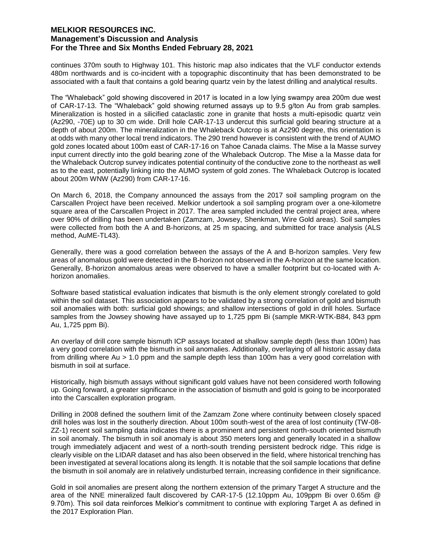continues 370m south to Highway 101. This historic map also indicates that the VLF conductor extends 480m northwards and is co-incident with a topographic discontinuity that has been demonstrated to be associated with a fault that contains a gold bearing quartz vein by the latest drilling and analytical results.

The "Whaleback" gold showing discovered in 2017 is located in a low lying swampy area 200m due west of CAR-17-13. The "Whaleback" gold showing returned assays up to 9.5 g/ton Au from grab samples. Mineralization is hosted in a silicified cataclastic zone in granite that hosts a multi-episodic quartz vein (Az290, -70E) up to 30 cm wide. Drill hole CAR-17-13 undercut this surficial gold bearing structure at a depth of about 200m. The mineralization in the Whaleback Outcrop is at Az290 degree, this orientation is at odds with many other local trend indicators. The 290 trend however is consistent with the trend of AUMO gold zones located about 100m east of CAR-17-16 on Tahoe Canada claims. The Mise a la Masse survey input current directly into the gold bearing zone of the Whaleback Outcrop. The Mise a la Masse data for the Whaleback Outcrop survey indicates potential continuity of the conductive zone to the northeast as well as to the east, potentially linking into the AUMO system of gold zones. The Whaleback Outcrop is located about 200m WNW (Az290) from CAR-17-16.

On March 6, 2018, the Company announced the assays from the 2017 soil sampling program on the Carscallen Project have been received. Melkior undertook a soil sampling program over a one-kilometre square area of the Carscallen Project in 2017. The area sampled included the central project area, where over 90% of drilling has been undertaken (Zamzam, Jowsey, Shenkman, Wire Gold areas). Soil samples were collected from both the A and B-horizons, at 25 m spacing, and submitted for trace analysis (ALS method, AuME-TL43).

Generally, there was a good correlation between the assays of the A and B-horizon samples. Very few areas of anomalous gold were detected in the B-horizon not observed in the A-horizon at the same location. Generally, B-horizon anomalous areas were observed to have a smaller footprint but co-located with Ahorizon anomalies.

Software based statistical evaluation indicates that bismuth is the only element strongly corelated to gold within the soil dataset. This association appears to be validated by a strong correlation of gold and bismuth soil anomalies with both: surficial gold showings; and shallow intersections of gold in drill holes. Surface samples from the Jowsey showing have assayed up to 1,725 ppm Bi (sample MKR-WTK-B84, 843 ppm Au, 1,725 ppm Bi).

An overlay of drill core sample bismuth ICP assays located at shallow sample depth (less than 100m) has a very good correlation with the bismuth in soil anomalies. Additionally, overlaying of all historic assay data from drilling where Au > 1.0 ppm and the sample depth less than 100m has a very good correlation with bismuth in soil at surface.

Historically, high bismuth assays without significant gold values have not been considered worth following up. Going forward, a greater significance in the association of bismuth and gold is going to be incorporated into the Carscallen exploration program.

Drilling in 2008 defined the southern limit of the Zamzam Zone where continuity between closely spaced drill holes was lost in the southerly direction. About 100m south-west of the area of lost continuity (TW-08- ZZ-1) recent soil sampling data indicates there is a prominent and persistent north-south oriented bismuth in soil anomaly. The bismuth in soil anomaly is about 350 meters long and generally located in a shallow trough immediately adjacent and west of a north-south trending persistent bedrock ridge. This ridge is clearly visible on the LIDAR dataset and has also been observed in the field, where historical trenching has been investigated at several locations along its length. It is notable that the soil sample locations that define the bismuth in soil anomaly are in relatively undisturbed terrain, increasing confidence in their significance.

Gold in soil anomalies are present along the northern extension of the primary Target A structure and the area of the NNE mineralized fault discovered by CAR-17-5 (12.10ppm Au, 109ppm Bi over 0.65m @ 9.70m). This soil data reinforces Melkior's commitment to continue with exploring Target A as defined in the 2017 Exploration Plan.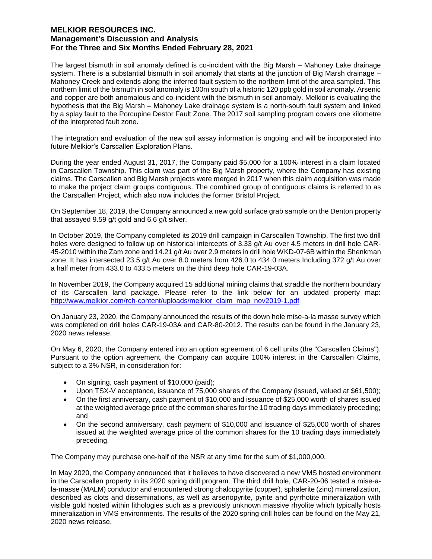The largest bismuth in soil anomaly defined is co-incident with the Big Marsh – Mahoney Lake drainage system. There is a substantial bismuth in soil anomaly that starts at the junction of Big Marsh drainage – Mahoney Creek and extends along the inferred fault system to the northern limit of the area sampled. This northern limit of the bismuth in soil anomaly is 100m south of a historic 120 ppb gold in soil anomaly. Arsenic and copper are both anomalous and co-incident with the bismuth in soil anomaly. Melkior is evaluating the hypothesis that the Big Marsh – Mahoney Lake drainage system is a north-south fault system and linked by a splay fault to the Porcupine Destor Fault Zone. The 2017 soil sampling program covers one kilometre of the interpreted fault zone.

The integration and evaluation of the new soil assay information is ongoing and will be incorporated into future Melkior's Carscallen Exploration Plans.

During the year ended August 31, 2017, the Company paid \$5,000 for a 100% interest in a claim located in Carscallen Township. This claim was part of the Big Marsh property, where the Company has existing claims. The Carscallen and Big Marsh projects were merged in 2017 when this claim acquisition was made to make the project claim groups contiguous. The combined group of contiguous claims is referred to as the Carscallen Project, which also now includes the former Bristol Project.

On September 18, 2019, the Company announced a new gold surface grab sample on the Denton property that assayed 9.59 g/t gold and 6.6 g/t silver.

In October 2019, the Company completed its 2019 drill campaign in Carscallen Township. The first two drill holes were designed to follow up on historical intercepts of 3.33 g/t Au over 4.5 meters in drill hole CAR-45-2010 within the Zam zone and 14.21 g/t Au over 2.9 meters in drill hole WKD-07-6B within the Shenkman zone. It has intersected 23.5 g/t Au over 8.0 meters from 426.0 to 434.0 meters Including 372 g/t Au over a half meter from 433.0 to 433.5 meters on the third deep hole CAR-19-03A.

In November 2019, the Company acquired 15 additional mining claims that straddle the northern boundary of its Carscallen land package. Please refer to the link below for an updated property map: http://www.melkior.com/rch-content/uploads/melkior\_claim\_map\_nov2019-1.pdf

On January 23, 2020, the Company announced the results of the down hole mise-a-la masse survey which was completed on drill holes CAR-19-03A and CAR-80-2012. The results can be found in the January 23, 2020 news release.

On May 6, 2020, the Company entered into an option agreement of 6 cell units (the "Carscallen Claims"). Pursuant to the option agreement, the Company can acquire 100% interest in the Carscallen Claims, subject to a 3% NSR, in consideration for:

- On signing, cash payment of \$10,000 (paid);
- Upon TSX-V acceptance, issuance of 75,000 shares of the Company (issued, valued at \$61,500);
- On the first anniversary, cash payment of \$10,000 and issuance of \$25,000 worth of shares issued at the weighted average price of the common shares for the 10 trading days immediately preceding; and
- On the second anniversary, cash payment of \$10,000 and issuance of \$25,000 worth of shares issued at the weighted average price of the common shares for the 10 trading days immediately preceding.

The Company may purchase one-half of the NSR at any time for the sum of \$1,000,000.

In May 2020, the Company announced that it believes to have discovered a new VMS hosted environment in the Carscallen property in its 2020 spring drill program. The third drill hole, CAR-20-06 tested a mise-ala-masse (MALM) conductor and encountered strong chalcopyrite (copper), sphalerite (zinc) mineralization, described as clots and disseminations, as well as arsenopyrite, pyrite and pyrrhotite mineralization with visible gold hosted within lithologies such as a previously unknown massive rhyolite which typically hosts mineralization in VMS environments. The results of the 2020 spring drill holes can be found on the May 21, 2020 news release.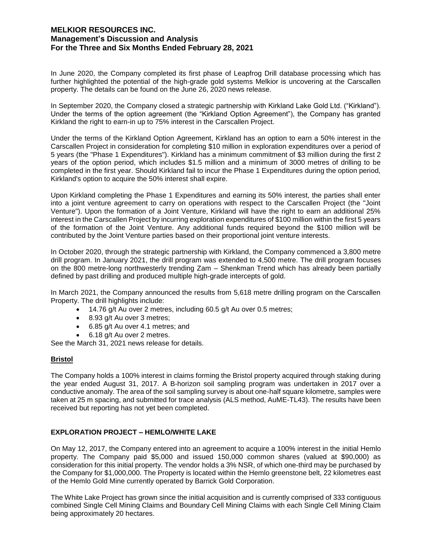In June 2020, the Company completed its first phase of Leapfrog Drill database processing which has further highlighted the potential of the high-grade gold systems Melkior is uncovering at the Carscallen property. The details can be found on the June 26, 2020 news release.

In September 2020, the Company closed a strategic partnership with Kirkland Lake Gold Ltd. ("Kirkland"). Under the terms of the option agreement (the "Kirkland Option Agreement"), the Company has granted Kirkland the right to earn-in up to 75% interest in the Carscallen Project.

Under the terms of the Kirkland Option Agreement, Kirkland has an option to earn a 50% interest in the Carscallen Project in consideration for completing \$10 million in exploration expenditures over a period of 5 years (the "Phase 1 Expenditures"). Kirkland has a minimum commitment of \$3 million during the first 2 years of the option period, which includes \$1.5 million and a minimum of 3000 metres of drilling to be completed in the first year. Should Kirkland fail to incur the Phase 1 Expenditures during the option period, Kirkland's option to acquire the 50% interest shall expire.

Upon Kirkland completing the Phase 1 Expenditures and earning its 50% interest, the parties shall enter into a joint venture agreement to carry on operations with respect to the Carscallen Project (the "Joint Venture"). Upon the formation of a Joint Venture, Kirkland will have the right to earn an additional 25% interest in the Carscallen Project by incurring exploration expenditures of \$100 million within the first 5 years of the formation of the Joint Venture. Any additional funds required beyond the \$100 million will be contributed by the Joint Venture parties based on their proportional joint venture interests.

In October 2020, through the strategic partnership with Kirkland, the Company commenced a 3,800 metre drill program. In January 2021, the drill program was extended to 4,500 metre. The drill program focuses on the 800 metre-long northwesterly trending Zam – Shenkman Trend which has already been partially defined by past drilling and produced multiple high-grade intercepts of gold.

In March 2021, the Company announced the results from 5,618 metre drilling program on the Carscallen Property. The drill highlights include:

- $\bullet$  14.76 g/t Au over 2 metres, including 60.5 g/t Au over 0.5 metres;
- 8.93 g/t Au over 3 metres;
- 6.85 g/t Au over 4.1 metres; and
- 6.18 g/t Au over 2 metres.

See the March 31, 2021 news release for details.

# **Bristol**

The Company holds a 100% interest in claims forming the Bristol property acquired through staking during the year ended August 31, 2017. A B-horizon soil sampling program was undertaken in 2017 over a conductive anomaly. The area of the soil sampling survey is about one-half square kilometre, samples were taken at 25 m spacing, and submitted for trace analysis (ALS method, AuME-TL43). The results have been received but reporting has not yet been completed.

# **EXPLORATION PROJECT – HEMLO/WHITE LAKE**

On May 12, 2017, the Company entered into an agreement to acquire a 100% interest in the initial Hemlo property. The Company paid \$5,000 and issued 150,000 common shares (valued at \$90,000) as consideration for this initial property. The vendor holds a 3% NSR, of which one-third may be purchased by the Company for \$1,000,000. The Property is located within the Hemlo greenstone belt, 22 kilometres east of the Hemlo Gold Mine currently operated by Barrick Gold Corporation.

The White Lake Project has grown since the initial acquisition and is currently comprised of 333 contiguous combined Single Cell Mining Claims and Boundary Cell Mining Claims with each Single Cell Mining Claim being approximately 20 hectares.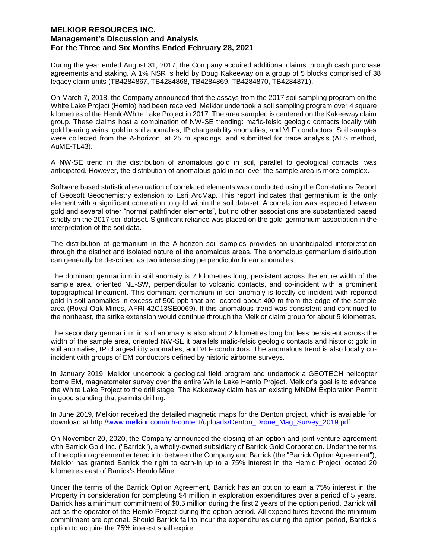During the year ended August 31, 2017, the Company acquired additional claims through cash purchase agreements and staking. A 1% NSR is held by Doug Kakeeway on a group of 5 blocks comprised of 38 legacy claim units (TB4284867, TB4284868, TB4284869, TB4284870, TB4284871).

On March 7, 2018, the Company announced that the assays from the 2017 soil sampling program on the White Lake Project (Hemlo) had been received. Melkior undertook a soil sampling program over 4 square kilometres of the Hemlo/White Lake Project in 2017. The area sampled is centered on the Kakeeway claim group. These claims host a combination of NW-SE trending: mafic-felsic geologic contacts locally with gold bearing veins; gold in soil anomalies; IP chargeability anomalies; and VLF conductors. Soil samples were collected from the A-horizon, at 25 m spacings, and submitted for trace analysis (ALS method, AuME-TL43).

A NW-SE trend in the distribution of anomalous gold in soil, parallel to geological contacts, was anticipated. However, the distribution of anomalous gold in soil over the sample area is more complex.

Software based statistical evaluation of correlated elements was conducted using the Correlations Report of Geosoft Geochemistry extension to Esri ArcMap. This report indicates that germanium is the only element with a significant correlation to gold within the soil dataset. A correlation was expected between gold and several other "normal pathfinder elements", but no other associations are substantiated based strictly on the 2017 soil dataset. Significant reliance was placed on the gold-germanium association in the interpretation of the soil data.

The distribution of germanium in the A-horizon soil samples provides an unanticipated interpretation through the distinct and isolated nature of the anomalous areas. The anomalous germanium distribution can generally be described as two intersecting perpendicular linear anomalies.

The dominant germanium in soil anomaly is 2 kilometres long, persistent across the entire width of the sample area, oriented NE-SW, perpendicular to volcanic contacts, and co-incident with a prominent topographical lineament. This dominant germanium in soil anomaly is locally co-incident with reported gold in soil anomalies in excess of 500 ppb that are located about 400 m from the edge of the sample area (Royal Oak Mines, AFRI 42C13SE0069). If this anomalous trend was consistent and continued to the northeast, the strike extension would continue through the Melkior claim group for about 5 kilometres.

The secondary germanium in soil anomaly is also about 2 kilometres long but less persistent across the width of the sample area, oriented NW-SE it parallels mafic-felsic geologic contacts and historic: gold in soil anomalies; IP chargeability anomalies; and VLF conductors. The anomalous trend is also locally coincident with groups of EM conductors defined by historic airborne surveys.

In January 2019, Melkior undertook a geological field program and undertook a GEOTECH helicopter borne EM, magnetometer survey over the entire White Lake Hemlo Project. Melkior's goal is to advance the White Lake Project to the drill stage. The Kakeeway claim has an existing MNDM Exploration Permit in good standing that permits drilling.

In June 2019, Melkior received the detailed magnetic maps for the Denton project, which is available for download at http://www.melkior.com/rch-content/uploads/Denton\_Drone\_Mag\_Survey\_2019.pdf.

On November 20, 2020, the Company announced the closing of an option and joint venture agreement with Barrick Gold Inc. ("Barrick"), a wholly-owned subsidiary of Barrick Gold Corporation. Under the terms of the option agreement entered into between the Company and Barrick (the "Barrick Option Agreement"), Melkior has granted Barrick the right to earn-in up to a 75% interest in the Hemlo Project located 20 kilometres east of Barrick's Hemlo Mine.

Under the terms of the Barrick Option Agreement, Barrick has an option to earn a 75% interest in the Property in consideration for completing \$4 million in exploration expenditures over a period of 5 years. Barrick has a minimum commitment of \$0.5 million during the first 2 years of the option period. Barrick will act as the operator of the Hemlo Project during the option period. All expenditures beyond the minimum commitment are optional. Should Barrick fail to incur the expenditures during the option period, Barrick's option to acquire the 75% interest shall expire.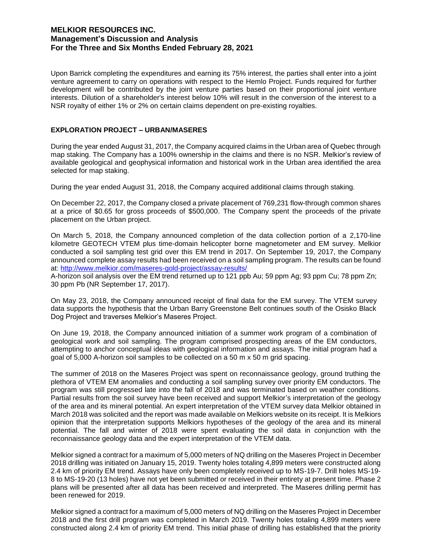Upon Barrick completing the expenditures and earning its 75% interest, the parties shall enter into a joint venture agreement to carry on operations with respect to the Hemlo Project. Funds required for further development will be contributed by the joint venture parties based on their proportional joint venture interests. Dilution of a shareholder's interest below 10% will result in the conversion of the interest to a NSR royalty of either 1% or 2% on certain claims dependent on pre-existing royalties.

#### **EXPLORATION PROJECT – URBAN/MASERES**

During the year ended August 31, 2017, the Company acquired claims in the Urban area of Quebec through map staking. The Company has a 100% ownership in the claims and there is no NSR. Melkior's review of available geological and geophysical information and historical work in the Urban area identified the area selected for map staking.

During the year ended August 31, 2018, the Company acquired additional claims through staking.

On December 22, 2017, the Company closed a private placement of 769,231 flow-through common shares at a price of \$0.65 for gross proceeds of \$500,000. The Company spent the proceeds of the private placement on the Urban project.

On March 5, 2018, the Company announced completion of the data collection portion of a 2,170-line kilometre GEOTECH VTEM plus time-domain helicopter borne magnetometer and EM survey. Melkior conducted a soil sampling test grid over this EM trend in 2017. On September 19, 2017, the Company announced complete assay results had been received on a soil sampling program. The results can be found at: http://www.melkior.com/maseres-gold-project/assay-results/

A-horizon soil analysis over the EM trend returned up to 121 ppb Au; 59 ppm Ag; 93 ppm Cu; 78 ppm Zn; 30 ppm Pb (NR September 17, 2017).

On May 23, 2018, the Company announced receipt of final data for the EM survey. The VTEM survey data supports the hypothesis that the Urban Barry Greenstone Belt continues south of the Osisko Black Dog Project and traverses Melkior's Maseres Project.

On June 19, 2018, the Company announced initiation of a summer work program of a combination of geological work and soil sampling. The program comprised prospecting areas of the EM conductors, attempting to anchor conceptual ideas with geological information and assays. The initial program had a goal of 5,000 A-horizon soil samples to be collected on a 50 m x 50 m grid spacing.

The summer of 2018 on the Maseres Project was spent on reconnaissance geology, ground truthing the plethora of VTEM EM anomalies and conducting a soil sampling survey over priority EM conductors. The program was still progressed late into the fall of 2018 and was terminated based on weather conditions. Partial results from the soil survey have been received and support Melkior's interpretation of the geology of the area and its mineral potential. An expert interpretation of the VTEM survey data Melkior obtained in March 2018 was solicited and the report was made available on Melkiors website on its receipt. It is Melkiors opinion that the interpretation supports Melkiors hypotheses of the geology of the area and its mineral potential. The fall and winter of 2018 were spent evaluating the soil data in conjunction with the reconnaissance geology data and the expert interpretation of the VTEM data.

Melkior signed a contract for a maximum of 5,000 meters of NQ drilling on the Maseres Project in December 2018 drilling was initiated on January 15, 2019. Twenty holes totaling 4,899 meters were constructed along 2.4 km of priority EM trend. Assays have only been completely received up to MS-19-7. Drill holes MS-19- 8 to MS-19-20 (13 holes) have not yet been submitted or received in their entirety at present time. Phase 2 plans will be presented after all data has been received and interpreted. The Maseres drilling permit has been renewed for 2019.

Melkior signed a contract for a maximum of 5,000 meters of NQ drilling on the Maseres Project in December 2018 and the first drill program was completed in March 2019. Twenty holes totaling 4,899 meters were constructed along 2.4 km of priority EM trend. This initial phase of drilling has established that the priority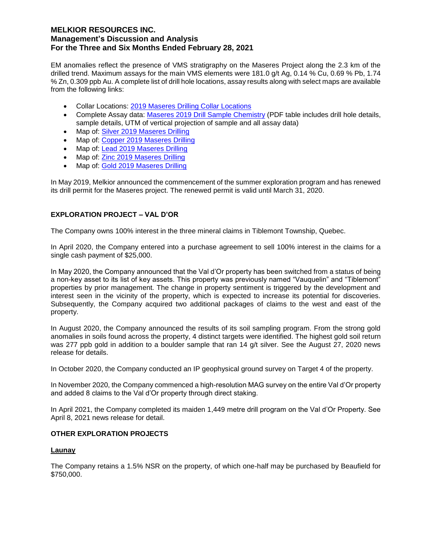EM anomalies reflect the presence of VMS stratigraphy on the Maseres Project along the 2.3 km of the drilled trend. Maximum assays for the main VMS elements were 181.0 g/t Ag, 0.14 % Cu, 0.69 % Pb, 1.74 % Zn, 0.309 ppb Au. A complete list of drill hole locations, assay results along with select maps are available from the following links:

- Collar Locations: 2019 Maseres Drilling Collar Locations
- Complete Assay data: Maseres 2019 Drill Sample Chemistry (PDF table includes drill hole details, sample details, UTM of vertical projection of sample and all assay data)
- Map of: Silver 2019 Maseres Drilling
- Map of: Copper 2019 Maseres Drilling
- Map of: Lead 2019 Maseres Drilling
- Map of: Zinc 2019 Maseres Drilling
- Map of: Gold 2019 Maseres Drilling

In May 2019, Melkior announced the commencement of the summer exploration program and has renewed its drill permit for the Maseres project. The renewed permit is valid until March 31, 2020.

## **EXPLORATION PROJECT – VAL D'OR**

The Company owns 100% interest in the three mineral claims in Tiblemont Township, Quebec.

In April 2020, the Company entered into a purchase agreement to sell 100% interest in the claims for a single cash payment of \$25,000.

In May 2020, the Company announced that the Val d'Or property has been switched from a status of being a non-key asset to its list of key assets. This property was previously named "Vauquelin" and "Tiblemont" properties by prior management. The change in property sentiment is triggered by the development and interest seen in the vicinity of the property, which is expected to increase its potential for discoveries. Subsequently, the Company acquired two additional packages of claims to the west and east of the property.

In August 2020, the Company announced the results of its soil sampling program. From the strong gold anomalies in soils found across the property, 4 distinct targets were identified. The highest gold soil return was 277 ppb gold in addition to a boulder sample that ran 14 g/t silver. See the August 27, 2020 news release for details.

In October 2020, the Company conducted an IP geophysical ground survey on Target 4 of the property.

In November 2020, the Company commenced a high-resolution MAG survey on the entire Val d'Or property and added 8 claims to the Val d'Or property through direct staking.

In April 2021, the Company completed its maiden 1,449 metre drill program on the Val d'Or Property. See April 8, 2021 news release for detail.

#### **OTHER EXPLORATION PROJECTS**

#### **Launay**

The Company retains a 1.5% NSR on the property, of which one-half may be purchased by Beaufield for \$750,000.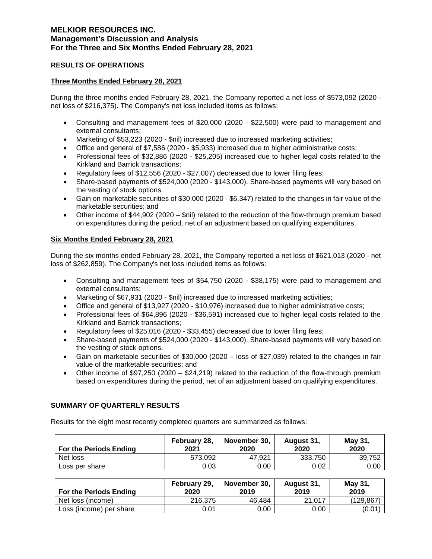### **RESULTS OF OPERATIONS**

## **Three Months Ended February 28, 2021**

During the three months ended February 28, 2021, the Company reported a net loss of \$573,092 (2020 net loss of \$216,375). The Company's net loss included items as follows:

- Consulting and management fees of \$20,000 (2020 \$22,500) were paid to management and external consultants;
- Marketing of \$53,223 (2020 \$nil) increased due to increased marketing activities;
- Office and general of \$7,586 (2020 \$5,933) increased due to higher administrative costs;
- Professional fees of \$32,886 (2020 \$25,205) increased due to higher legal costs related to the Kirkland and Barrick transactions;
- Regulatory fees of \$12,556 (2020 \$27,007) decreased due to lower filing fees;
- Share-based payments of \$524,000 (2020 \$143,000). Share-based payments will vary based on the vesting of stock options.
- Gain on marketable securities of \$30,000 (2020 \$6,347) related to the changes in fair value of the marketable securities; and
- Other income of \$44,902 (2020 \$nil) related to the reduction of the flow-through premium based on expenditures during the period, net of an adjustment based on qualifying expenditures.

## **Six Months Ended February 28, 2021**

During the six months ended February 28, 2021, the Company reported a net loss of \$621,013 (2020 - net loss of \$262,859). The Company's net loss included items as follows:

- Consulting and management fees of \$54,750 (2020 \$38,175) were paid to management and external consultants;
- Marketing of \$67,931 (2020 \$nil) increased due to increased marketing activities;
- Office and general of \$13,927 (2020 \$10,976) increased due to higher administrative costs;
- Professional fees of \$64,896 (2020 \$36,591) increased due to higher legal costs related to the Kirkland and Barrick transactions;
- Regulatory fees of \$25,016 (2020 \$33,455) decreased due to lower filing fees;
- Share-based payments of \$524,000 (2020 \$143,000). Share-based payments will vary based on the vesting of stock options.
- Gain on marketable securities of \$30,000 (2020 loss of \$27,039) related to the changes in fair value of the marketable securities; and
- Other income of \$97,250 (2020 \$24,219) related to the reduction of the flow-through premium based on expenditures during the period, net of an adjustment based on qualifying expenditures.

# **SUMMARY OF QUARTERLY RESULTS**

Results for the eight most recently completed quarters are summarized as follows:

| <b>For the Periods Ending</b> | February 28,<br>2021 | November 30.<br>2020 | August 31.<br>2020 | May 31,<br>2020 |
|-------------------------------|----------------------|----------------------|--------------------|-----------------|
| Net loss                      | 573.092              | 47.921               | 333.750            | 39,752          |
| Loss per share                | 0.03                 | 0.00                 | 0.02               | 0.00            |

| For the Periods Ending  | February 29,<br>2020 | November 30.<br>2019 | August 31,<br>2019 | May 31,<br>2019 |
|-------------------------|----------------------|----------------------|--------------------|-----------------|
| Net loss (income)       | 216,375              | 46.484               | 21.017             | (129, 867)      |
| Loss (income) per share | 0.01                 | 0.00                 | 0.00               | (0.01)          |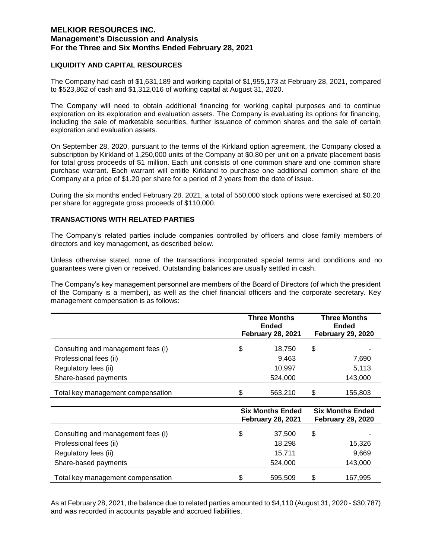#### **LIQUIDITY AND CAPITAL RESOURCES**

The Company had cash of \$1,631,189 and working capital of \$1,955,173 at February 28, 2021, compared to \$523,862 of cash and \$1,312,016 of working capital at August 31, 2020.

The Company will need to obtain additional financing for working capital purposes and to continue exploration on its exploration and evaluation assets. The Company is evaluating its options for financing, including the sale of marketable securities, further issuance of common shares and the sale of certain exploration and evaluation assets.

On September 28, 2020, pursuant to the terms of the Kirkland option agreement, the Company closed a subscription by Kirkland of 1,250,000 units of the Company at \$0.80 per unit on a private placement basis for total gross proceeds of \$1 million. Each unit consists of one common share and one common share purchase warrant. Each warrant will entitle Kirkland to purchase one additional common share of the Company at a price of \$1.20 per share for a period of 2 years from the date of issue.

During the six months ended February 28, 2021, a total of 550,000 stock options were exercised at \$0.20 per share for aggregate gross proceeds of \$110,000.

# **TRANSACTIONS WITH RELATED PARTIES**

The Company's related parties include companies controlled by officers and close family members of directors and key management, as described below.

Unless otherwise stated, none of the transactions incorporated special terms and conditions and no guarantees were given or received. Outstanding balances are usually settled in cash.

The Company's key management personnel are members of the Board of Directors (of which the president of the Company is a member), as well as the chief financial officers and the corporate secretary. Key management compensation is as follows:

|                                    | <b>Three Months</b><br><b>Ended</b><br><b>February 28, 2021</b> |         | <b>Three Months</b><br>Ended<br><b>February 29, 2020</b> |         |
|------------------------------------|-----------------------------------------------------------------|---------|----------------------------------------------------------|---------|
| Consulting and management fees (i) | \$                                                              | 18.750  | \$                                                       |         |
| Professional fees (ii)             |                                                                 | 9,463   |                                                          | 7,690   |
| Regulatory fees (ii)               |                                                                 | 10,997  |                                                          | 5,113   |
| Share-based payments               |                                                                 | 524,000 |                                                          | 143,000 |
| Total key management compensation  | \$                                                              | 563,210 | \$                                                       | 155,803 |

|                                    | <b>Six Months Ended</b><br><b>February 28, 2021</b> | <b>Six Months Ended</b><br><b>February 29, 2020</b> |         |
|------------------------------------|-----------------------------------------------------|-----------------------------------------------------|---------|
| Consulting and management fees (i) | \$<br>37.500                                        | \$                                                  |         |
| Professional fees (ii)             | 18.298                                              |                                                     | 15,326  |
| Regulatory fees (ii)               | 15,711                                              |                                                     | 9,669   |
| Share-based payments               | 524,000                                             |                                                     | 143,000 |
| Total key management compensation  | \$<br>595,509                                       | \$                                                  | 167,995 |

As at February 28, 2021, the balance due to related parties amounted to \$4,110 (August 31, 2020 - \$30,787) and was recorded in accounts payable and accrued liabilities.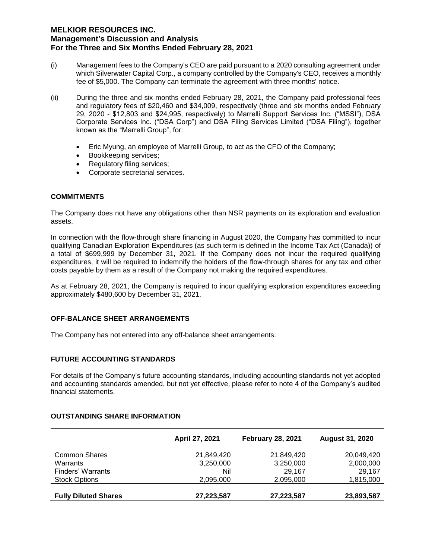- (i) Management fees to the Company's CEO are paid pursuant to a 2020 consulting agreement under which Silverwater Capital Corp., a company controlled by the Company's CEO, receives a monthly fee of \$5,000. The Company can terminate the agreement with three months' notice.
- (ii) During the three and six months ended February 28, 2021, the Company paid professional fees and regulatory fees of \$20,460 and \$34,009, respectively (three and six months ended February 29, 2020 - \$12,803 and \$24,995, respectively) to Marrelli Support Services Inc. ("MSSI"), DSA Corporate Services Inc. ("DSA Corp") and DSA Filing Services Limited ("DSA Filing"), together known as the "Marrelli Group", for:
	- Eric Myung, an employee of Marrelli Group, to act as the CFO of the Company;
	- Bookkeeping services;
	- Regulatory filing services;
	- Corporate secretarial services.

## **COMMITMENTS**

The Company does not have any obligations other than NSR payments on its exploration and evaluation assets.

In connection with the flow-through share financing in August 2020, the Company has committed to incur qualifying Canadian Exploration Expenditures (as such term is defined in the Income Tax Act (Canada)) of a total of \$699,999 by December 31, 2021. If the Company does not incur the required qualifying expenditures, it will be required to indemnify the holders of the flow-through shares for any tax and other costs payable by them as a result of the Company not making the required expenditures.

As at February 28, 2021, the Company is required to incur qualifying exploration expenditures exceeding approximately \$480,600 by December 31, 2021.

#### **OFF-BALANCE SHEET ARRANGEMENTS**

The Company has not entered into any off-balance sheet arrangements.

# **FUTURE ACCOUNTING STANDARDS**

For details of the Company's future accounting standards, including accounting standards not yet adopted and accounting standards amended, but not yet effective, please refer to note 4 of the Company's audited financial statements.

## **OUTSTANDING SHARE INFORMATION**

|                             | April 27, 2021 | <b>February 28, 2021</b> | <b>August 31, 2020</b> |
|-----------------------------|----------------|--------------------------|------------------------|
| <b>Common Shares</b>        | 21,849,420     | 21,849,420               | 20,049,420             |
| Warrants                    | 3,250,000      | 3,250,000                | 2,000,000              |
| Finders' Warrants           | Nil            | 29.167                   | 29.167                 |
| <b>Stock Options</b>        | 2,095,000      | 2,095,000                | 1,815,000              |
| <b>Fully Diluted Shares</b> | 27,223,587     | 27,223,587               | 23,893,587             |